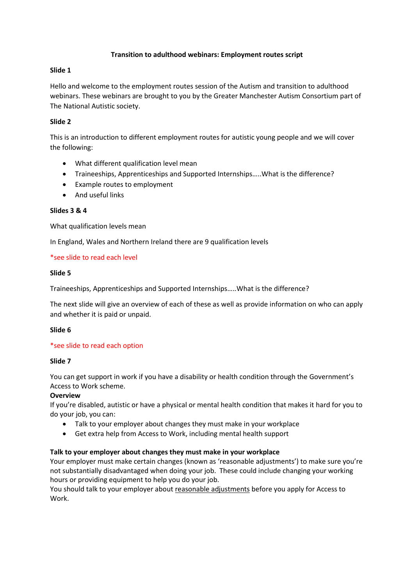### **Transition to adulthood webinars: Employment routes script**

### **Slide 1**

Hello and welcome to the employment routes session of the Autism and transition to adulthood webinars. These webinars are brought to you by the Greater Manchester Autism Consortium part of The National Autistic society.

# **Slide 2**

This is an introduction to different employment routes for autistic young people and we will cover the following:

- What different qualification level mean
- Traineeships, Apprenticeships and Supported Internships…..What is the difference?
- Example routes to employment
- And useful links

### **Slides 3 & 4**

What qualification levels mean

In England, Wales and Northern Ireland there are 9 qualification levels

### \*see slide to read each level

### **Slide 5**

Traineeships, Apprenticeships and Supported Internships…..What is the difference?

The next slide will give an overview of each of these as well as provide information on who can apply and whether it is paid or unpaid.

#### **Slide 6**

# \*see slide to read each option

#### **Slide 7**

You can get support in work if you have a disability or health condition through the Government's Access to Work scheme.

# **Overview**

If you're disabled, autistic or have a physical or mental health condition that makes it hard for you to do your job, you can:

- Talk to your employer about changes they must make in your workplace
- Get extra help from Access to Work, including mental health support

# **Talk to your employer about changes they must make in your workplace**

Your employer must make certain changes (known as 'reasonable adjustments') to make sure you're not substantially disadvantaged when doing your job. These could include changing your working hours or providing equipment to help you do your job.

You should talk to your employer about [reasonable adjustments](https://www.gov.uk/reasonable-adjustments-for-disabled-workers) before you apply for Access to Work.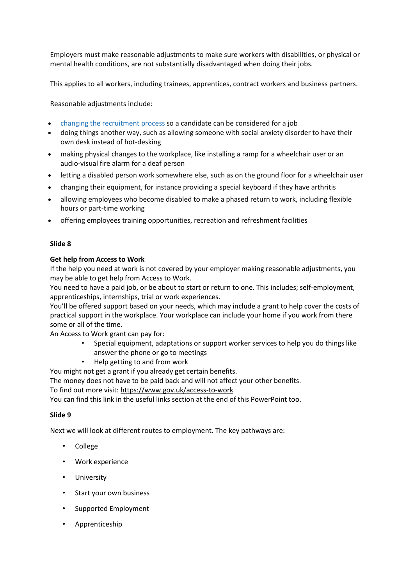Employers must make reasonable adjustments to make sure workers with disabilities, or physical or mental health conditions, are not substantially disadvantaged when doing their jobs.

This applies to all workers, including trainees, apprentices, contract workers and business partners.

Reasonable adjustments include:

- changing the [recruitment](https://www.gov.uk/recruitment-disabled-people/reasonable-adjustments) process so a candidate can be considered for a job
- doing things another way, such as allowing someone with social anxiety disorder to have their own desk instead of hot-desking
- making physical changes to the workplace, like installing a ramp for a wheelchair user or an audio-visual fire alarm for a deaf person
- letting a disabled person work somewhere else, such as on the ground floor for a wheelchair user
- changing their equipment, for instance providing a special keyboard if they have arthritis
- allowing employees who become disabled to make a phased return to work, including flexible hours or part-time working
- offering employees training opportunities, recreation and refreshment facilities

### **Slide 8**

### **Get help from Access to Work**

If the help you need at work is not covered by your employer making reasonable adjustments, you may be able to get help from Access to Work.

You need to have a paid job, or be about to start or return to one. This includes; self-employment, apprenticeships, internships, trial or work experiences.

You'll be offered support based on your needs, which may include a grant to help cover the costs of practical support in the workplace. Your workplace can include your home if you work from there some or all of the time.

An Access to Work grant can pay for:

- Special equipment, adaptations or support worker services to help you do things like answer the phone or go to meetings
- Help getting to and from work

You might not get a grant if you already get certain benefits.

The money does not have to be paid back and will not affect your other benefits.

To find out more visit:<https://www.gov.uk/access-to-work>

You can find this link in the useful links section at the end of this PowerPoint too.

# **Slide 9**

Next we will look at different routes to employment. The key pathways are:

- College
- Work experience
- **University**
- Start your own business
- Supported Employment
- Apprenticeship